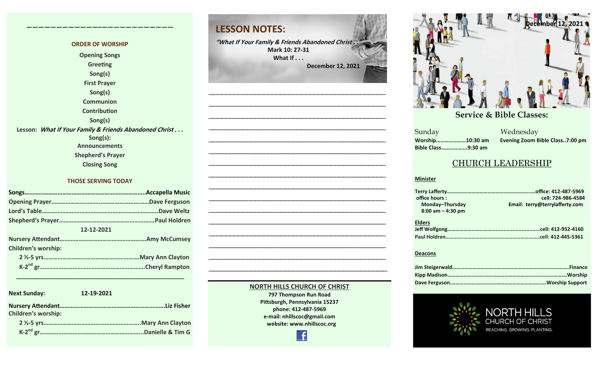#### **ORDER OF WORSHIP Opening Songs Greeting Song(s) First Prayer Song(s) Communion Contribution Song(s) Lesson: What If Your Family & Friends Abandoned Christ . . . Song(s): Announcements Shepherd's Prayer Closing Song**

**————————————–————————————**

#### **THOSE SERVING TODAY**

| 12-12-2021                 |  |  |  |  |
|----------------------------|--|--|--|--|
|                            |  |  |  |  |
| <b>Children's worship:</b> |  |  |  |  |
|                            |  |  |  |  |
|                            |  |  |  |  |
|                            |  |  |  |  |

| <b>Next Sunday:</b>        | 12-19-2021 |
|----------------------------|------------|
| <b>Children's worship:</b> |            |
|                            |            |
|                            |            |

 **\_\_\_\_\_\_\_\_\_\_\_\_\_\_\_\_\_\_\_\_\_\_\_\_\_\_\_\_\_\_\_\_\_\_\_\_\_\_\_\_\_\_\_\_\_\_\_\_\_\_\_**

### **LESSON NOTES:**

**"What If Your Family & Friends Abandoned Christ . ." Mark 10: 27-31 What If . . . December 12, 2021**

**—————————————————————————————————————————— —————————————————————————————————————————— —————————————————————————————————————————— —————————————————————————————————————————— —————————————————————————————————————————— —————————————————————————————————————————— ——————————————————————————————————————————**

**—————————————————————————————————————————— —————————————————————————————————————————— —————————————————————————————————————————— —————————————————————————————————————————— —————————————————————————————————————————— —————————————————————————————————————————— —————————————————————————————————————————— —————————————————————————————————————————— —————————————————————————————————————————–—**



**December 10, 2017 December 24, 2017 January 7, 2017 January 7, 2017 February 21, 2021**

**Sunday Bible Class……………...9:30 am**

**September 24, 2017 October 8, 2017 October 15, 2017 October 8, 2017 October 22, 2017 October 29, 2017 November 5, 2017 November 12, 2017 November 26, 2017** a Mednesday<br>Sunday Mednesday **Worship…………………10:30 am Evening Zoom Bible Class..7:00 pm**

#### CHURCH LEADERSHIP

#### **Minister**

| office hours:        | cell: 724-986-4584             |
|----------------------|--------------------------------|
| Monday-Thursday      | Email: terry@terrylafferty.com |
| $8:00$ am $-4:30$ pm |                                |
| <b>Elders</b>        |                                |
|                      |                                |
|                      |                                |

#### **Deacons**



#### **797 Thompson Run Road Pittsburgh, Pennsylvania 15237 phone: 412-487-5969**

**NORTH HILLS CHURCH OF CHRIST**

**e-mail: nhillscoc@gmail.com website: www.nhillscoc.org** 

Æ